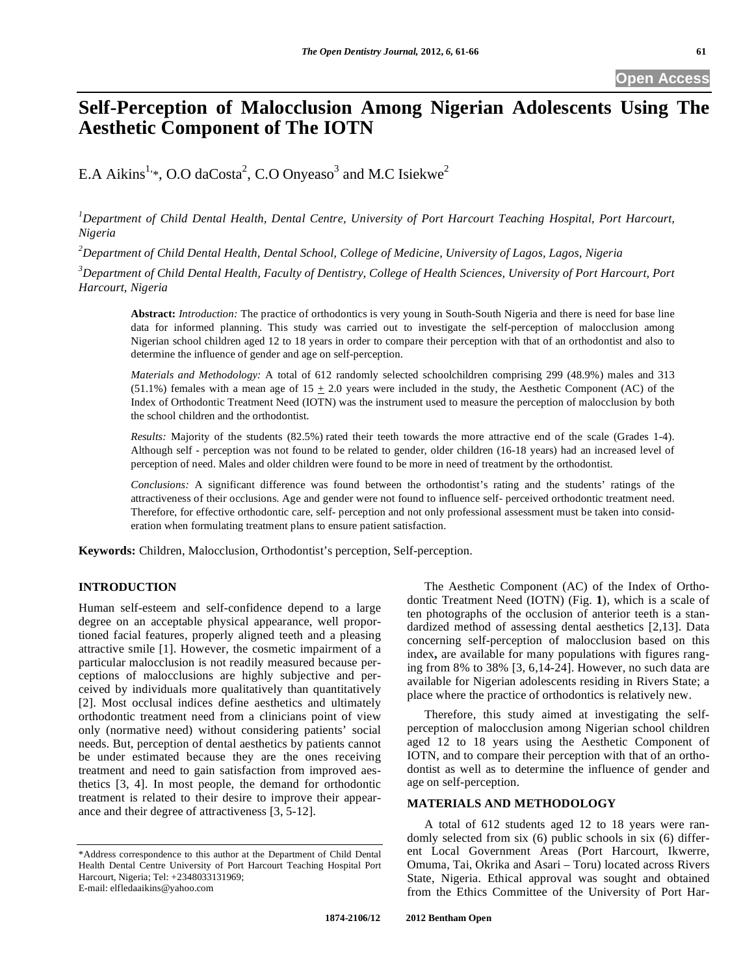**Open Access** 

# **Self-Perception of Malocclusion Among Nigerian Adolescents Using The Aesthetic Component of The IOTN**

E.A Aikins<sup>1,\*</sup>, O.O daCosta<sup>2</sup>, C.O Onyeaso<sup>3</sup> and M.C Isiekwe<sup>2</sup>

*1 Department of Child Dental Health, Dental Centre, University of Port Harcourt Teaching Hospital, Port Harcourt, Nigeria* 

*2 Department of Child Dental Health, Dental School, College of Medicine, University of Lagos, Lagos, Nigeria* 

*3 Department of Child Dental Health, Faculty of Dentistry, College of Health Sciences, University of Port Harcourt, Port Harcourt, Nigeria* 

**Abstract:** *Introduction:* The practice of orthodontics is very young in South-South Nigeria and there is need for base line data for informed planning. This study was carried out to investigate the self-perception of malocclusion among Nigerian school children aged 12 to 18 years in order to compare their perception with that of an orthodontist and also to determine the influence of gender and age on self-perception.

*Materials and Methodology:* A total of 612 randomly selected schoolchildren comprising 299 (48.9%) males and 313 (51.1%) females with a mean age of  $15 \pm 2.0$  years were included in the study, the Aesthetic Component (AC) of the Index of Orthodontic Treatment Need (IOTN) was the instrument used to measure the perception of malocclusion by both the school children and the orthodontist.

*Results:* Majority of the students (82.5%) rated their teeth towards the more attractive end of the scale (Grades 1-4). Although self - perception was not found to be related to gender, older children (16-18 years) had an increased level of perception of need. Males and older children were found to be more in need of treatment by the orthodontist.

*Conclusions:* A significant difference was found between the orthodontist's rating and the students' ratings of the attractiveness of their occlusions. Age and gender were not found to influence self- perceived orthodontic treatment need. Therefore, for effective orthodontic care, self- perception and not only professional assessment must be taken into consideration when formulating treatment plans to ensure patient satisfaction.

**Keywords:** Children, Malocclusion, Orthodontist's perception, Self-perception.

# **INTRODUCTION**

Human self-esteem and self-confidence depend to a large degree on an acceptable physical appearance, well proportioned facial features, properly aligned teeth and a pleasing attractive smile [1]. However, the cosmetic impairment of a particular malocclusion is not readily measured because perceptions of malocclusions are highly subjective and perceived by individuals more qualitatively than quantitatively [2]. Most occlusal indices define aesthetics and ultimately orthodontic treatment need from a clinicians point of view only (normative need) without considering patients' social needs. But, perception of dental aesthetics by patients cannot be under estimated because they are the ones receiving treatment and need to gain satisfaction from improved aesthetics [3, 4]. In most people, the demand for orthodontic treatment is related to their desire to improve their appearance and their degree of attractiveness [3, 5-12].

The Aesthetic Component (AC) of the Index of Orthodontic Treatment Need (IOTN) (Fig. **1**), which is a scale of ten photographs of the occlusion of anterior teeth is a standardized method of assessing dental aesthetics [2,13]. Data concerning self-perception of malocclusion based on this index**,** are available for many populations with figures ranging from 8% to 38% [3, 6,14-24]. However, no such data are available for Nigerian adolescents residing in Rivers State; a place where the practice of orthodontics is relatively new.

Therefore, this study aimed at investigating the selfperception of malocclusion among Nigerian school children aged 12 to 18 years using the Aesthetic Component of IOTN, and to compare their perception with that of an orthodontist as well as to determine the influence of gender and age on self-perception.

### **MATERIALS AND METHODOLOGY**

A total of 612 students aged 12 to 18 years were randomly selected from six (6) public schools in six (6) different Local Government Areas (Port Harcourt, Ikwerre, Omuma, Tai, Okrika and Asari – Toru) located across Rivers State, Nigeria. Ethical approval was sought and obtained from the Ethics Committee of the University of Port Har-

<sup>\*</sup>Address correspondence to this author at the Department of Child Dental Health Dental Centre University of Port Harcourt Teaching Hospital Port Harcourt, Nigeria; Tel: +2348033131969; E-mail: elfledaaikins@yahoo.com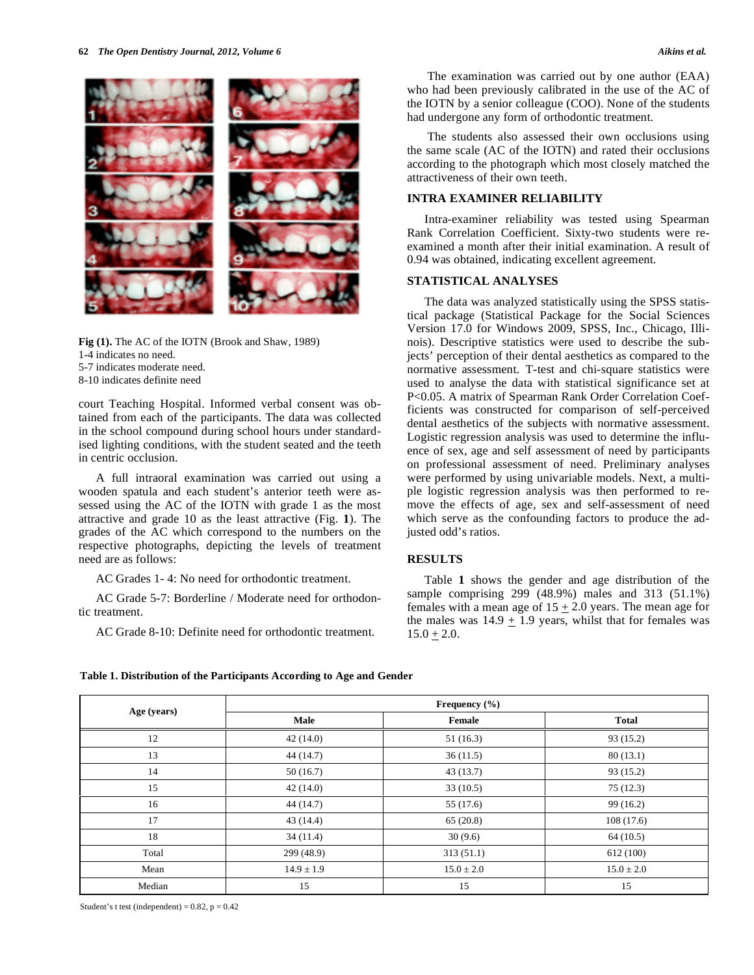

**Fig (1).** The AC of the IOTN (Brook and Shaw, 1989)

- 1-4 indicates no need.
- 5-7 indicates moderate need.
- 8-10 indicates definite need

court Teaching Hospital. Informed verbal consent was obtained from each of the participants. The data was collected in the school compound during school hours under standardised lighting conditions, with the student seated and the teeth in centric occlusion.

A full intraoral examination was carried out using a wooden spatula and each student's anterior teeth were assessed using the AC of the IOTN with grade 1 as the most attractive and grade 10 as the least attractive (Fig. **1**). The grades of the AC which correspond to the numbers on the respective photographs, depicting the levels of treatment need are as follows:

AC Grades 1- 4: No need for orthodontic treatment.

AC Grade 5-7: Borderline / Moderate need for orthodontic treatment.

AC Grade 8-10: Definite need for orthodontic treatment.

 The examination was carried out by one author (EAA) who had been previously calibrated in the use of the AC of the IOTN by a senior colleague (COO). None of the students had undergone any form of orthodontic treatment.

 The students also assessed their own occlusions using the same scale (AC of the IOTN) and rated their occlusions according to the photograph which most closely matched the attractiveness of their own teeth.

### **INTRA EXAMINER RELIABILITY**

Intra-examiner reliability was tested using Spearman Rank Correlation Coefficient. Sixty-two students were reexamined a month after their initial examination. A result of 0.94 was obtained, indicating excellent agreement.

### **STATISTICAL ANALYSES**

The data was analyzed statistically using the SPSS statistical package (Statistical Package for the Social Sciences Version 17.0 for Windows 2009, SPSS, Inc., Chicago, Illinois). Descriptive statistics were used to describe the subjects' perception of their dental aesthetics as compared to the normative assessment. T-test and chi-square statistics were used to analyse the data with statistical significance set at P<0.05. A matrix of Spearman Rank Order Correlation Coefficients was constructed for comparison of self-perceived dental aesthetics of the subjects with normative assessment. Logistic regression analysis was used to determine the influence of sex, age and self assessment of need by participants on professional assessment of need. Preliminary analyses were performed by using univariable models. Next, a multiple logistic regression analysis was then performed to remove the effects of age, sex and self-assessment of need which serve as the confounding factors to produce the adjusted odd's ratios.

### **RESULTS**

Table **1** shows the gender and age distribution of the sample comprising 299 (48.9%) males and 313 (51.1%) females with a mean age of  $15 + 2.0$  years. The mean age for the males was  $14.9 \pm 1.9$  years, whilst that for females was  $15.0 + 2.0.$ 

| Table 1. Distribution of the Participants According to Age and Gender |  |  |
|-----------------------------------------------------------------------|--|--|
|                                                                       |  |  |

| Age (years) | Frequency $(\% )$ |                |                |  |  |  |  |  |
|-------------|-------------------|----------------|----------------|--|--|--|--|--|
|             | Male              | Female         | <b>Total</b>   |  |  |  |  |  |
| 12          | 42(14.0)          | 51(16.3)       | 93(15.2)       |  |  |  |  |  |
| 13          | 44 (14.7)         | 36(11.5)       | 80(13.1)       |  |  |  |  |  |
| 14          | 50(16.7)          | 43(13.7)       | 93(15.2)       |  |  |  |  |  |
| 15          | 42(14.0)          | 33(10.5)       | 75(12.3)       |  |  |  |  |  |
| 16          | 44 (14.7)         | 55 (17.6)      | 99(16.2)       |  |  |  |  |  |
| 17          | 43(14.4)          | 65(20.8)       | 108(17.6)      |  |  |  |  |  |
| 18          | 34(11.4)          | 30(9.6)        | 64 (10.5)      |  |  |  |  |  |
| Total       | 299 (48.9)        | 313(51.1)      | 612 (100)      |  |  |  |  |  |
| Mean        | $14.9 \pm 1.9$    | $15.0 \pm 2.0$ | $15.0 \pm 2.0$ |  |  |  |  |  |
| Median      | 15                | 15             | 15             |  |  |  |  |  |

Student's t test (independent) =  $0.82$ ,  $p = 0.42$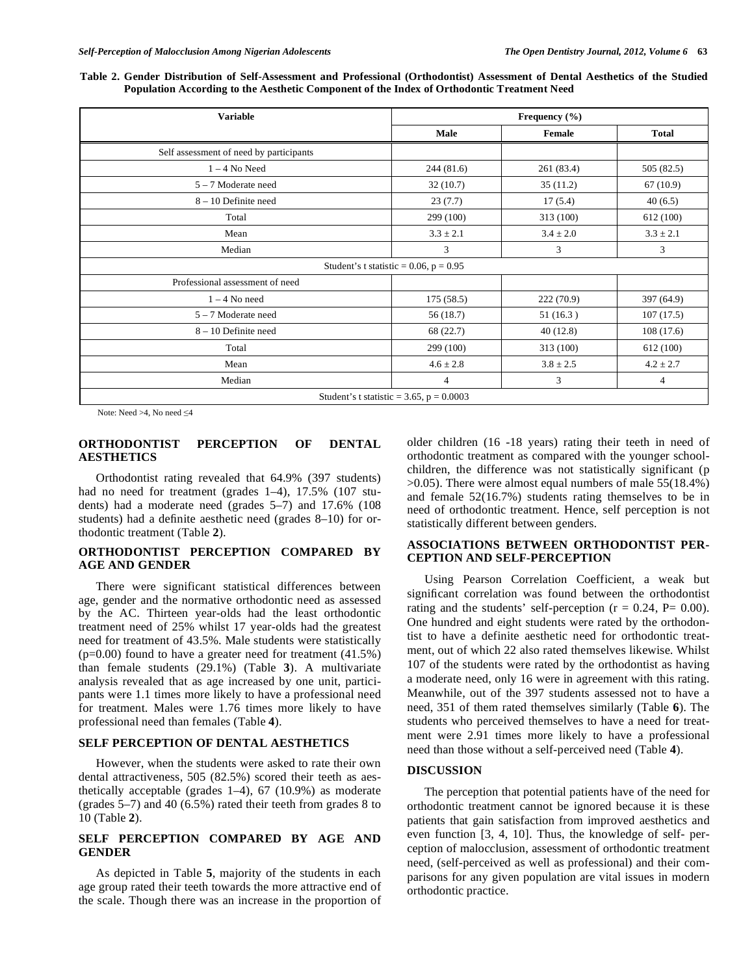| Table 2. Gender Distribution of Self-Assessment and Professional (Orthodontist) Assessment of Dental Aesthetics of the Studied |  |  |  |  |
|--------------------------------------------------------------------------------------------------------------------------------|--|--|--|--|
| Population According to the Aesthetic Component of the Index of Orthodontic Treatment Need                                     |  |  |  |  |

| <b>Variable</b>                         | Frequency $(\% )$                             |               |               |  |  |  |
|-----------------------------------------|-----------------------------------------------|---------------|---------------|--|--|--|
|                                         | Male                                          | Female        | <b>Total</b>  |  |  |  |
| Self assessment of need by participants |                                               |               |               |  |  |  |
| $1 - 4$ No Need                         | 244(81.6)                                     | 261 (83.4)    | 505 (82.5)    |  |  |  |
| $5 - 7$ Moderate need                   | 32(10.7)                                      | 35(11.2)      | 67(10.9)      |  |  |  |
| 8 - 10 Definite need                    | 23(7.7)                                       | 17(5.4)       | 40(6.5)       |  |  |  |
| Total                                   | 299 (100)                                     | 313 (100)     | 612 (100)     |  |  |  |
| Mean                                    | $3.3 \pm 2.1$                                 | $3.4 \pm 2.0$ | $3.3 \pm 2.1$ |  |  |  |
| Median                                  | 3                                             | 3             | 3             |  |  |  |
|                                         | Student's t statistic = $0.06$ , p = $0.95$   |               |               |  |  |  |
| Professional assessment of need         |                                               |               |               |  |  |  |
| $1 - 4$ No need                         | 175(58.5)                                     | 222(70.9)     | 397 (64.9)    |  |  |  |
| 5 - 7 Moderate need                     | 56(18.7)                                      | 51(16.3)      | 107(17.5)     |  |  |  |
| $8 - 10$ Definite need                  | 68 (22.7)                                     | 40(12.8)      | 108(17.6)     |  |  |  |
| Total                                   | 299 (100)                                     | 313 (100)     | 612 (100)     |  |  |  |
| Mean                                    | $4.6 \pm 2.8$                                 | $3.8 \pm 2.5$ | $4.2 \pm 2.7$ |  |  |  |
| Median                                  | 4                                             | 3             | 4             |  |  |  |
|                                         | Student's t statistic = $3.65$ , p = $0.0003$ |               |               |  |  |  |

Note: Need  $>4$ , No need  $\leq 4$ 

### **ORTHODONTIST PERCEPTION OF DENTAL AESTHETICS**

Orthodontist rating revealed that 64.9% (397 students) had no need for treatment (grades 1-4), 17.5% (107 students) had a moderate need (grades 5–7) and 17.6% (108 students) had a definite aesthetic need (grades 8–10) for orthodontic treatment (Table **2**).

# **ORTHODONTIST PERCEPTION COMPARED BY AGE AND GENDER**

There were significant statistical differences between age, gender and the normative orthodontic need as assessed by the AC. Thirteen year-olds had the least orthodontic treatment need of 25% whilst 17 year-olds had the greatest need for treatment of 43.5%. Male students were statistically (p=0.00) found to have a greater need for treatment (41.5%) than female students (29.1%) (Table **3**). A multivariate analysis revealed that as age increased by one unit, participants were 1.1 times more likely to have a professional need for treatment. Males were 1.76 times more likely to have professional need than females (Table **4**).

#### **SELF PERCEPTION OF DENTAL AESTHETICS**

However, when the students were asked to rate their own dental attractiveness, 505 (82.5%) scored their teeth as aesthetically acceptable (grades 1–4), 67 (10.9%) as moderate (grades 5–7) and 40 (6.5%) rated their teeth from grades 8 to 10 (Table **2**).

### **SELF PERCEPTION COMPARED BY AGE AND GENDER**

As depicted in Table **5**, majority of the students in each age group rated their teeth towards the more attractive end of the scale. Though there was an increase in the proportion of

older children (16 -18 years) rating their teeth in need of orthodontic treatment as compared with the younger schoolchildren, the difference was not statistically significant (p >0.05). There were almost equal numbers of male 55(18.4%) and female 52(16.7%) students rating themselves to be in need of orthodontic treatment. Hence, self perception is not statistically different between genders.

## **ASSOCIATIONS BETWEEN ORTHODONTIST PER-CEPTION AND SELF-PERCEPTION**

Using Pearson Correlation Coefficient, a weak but significant correlation was found between the orthodontist rating and the students' self-perception ( $r = 0.24$ ,  $P = 0.00$ ). One hundred and eight students were rated by the orthodontist to have a definite aesthetic need for orthodontic treatment, out of which 22 also rated themselves likewise. Whilst 107 of the students were rated by the orthodontist as having a moderate need, only 16 were in agreement with this rating. Meanwhile, out of the 397 students assessed not to have a need, 351 of them rated themselves similarly (Table **6**). The students who perceived themselves to have a need for treatment were 2.91 times more likely to have a professional need than those without a self-perceived need (Table **4**).

### **DISCUSSION**

The perception that potential patients have of the need for orthodontic treatment cannot be ignored because it is these patients that gain satisfaction from improved aesthetics and even function [3, 4, 10]. Thus, the knowledge of self- perception of malocclusion, assessment of orthodontic treatment need, (self-perceived as well as professional) and their comparisons for any given population are vital issues in modern orthodontic practice.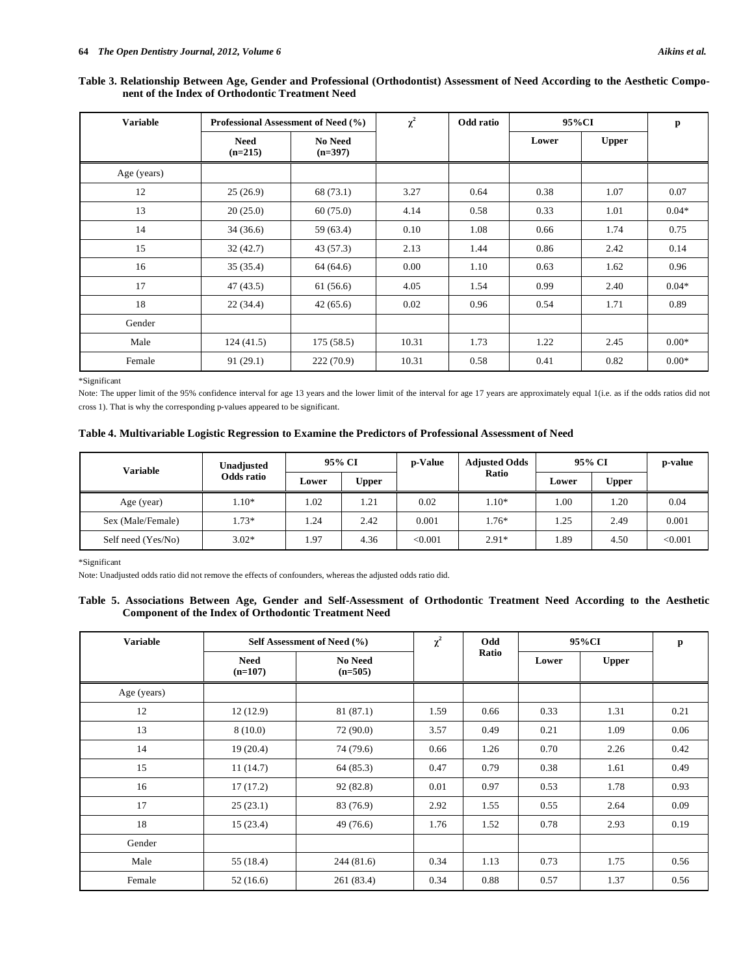### **Table 3. Relationship Between Age, Gender and Professional (Orthodontist) Assessment of Need According to the Aesthetic Component of the Index of Orthodontic Treatment Need**

| <b>Variable</b> | Professional Assessment of Need (%) |                             | $\chi^2$ | Odd ratio | 95%CI | p            |         |
|-----------------|-------------------------------------|-----------------------------|----------|-----------|-------|--------------|---------|
|                 | <b>Need</b><br>$(n=215)$            | <b>No Need</b><br>$(n=397)$ |          |           | Lower | <b>Upper</b> |         |
| Age (years)     |                                     |                             |          |           |       |              |         |
| 12              | 25(26.9)                            | 68 (73.1)                   | 3.27     | 0.64      | 0.38  | 1.07         | 0.07    |
| 13              | 20(25.0)                            | 60(75.0)                    | 4.14     | 0.58      | 0.33  | 1.01         | $0.04*$ |
| 14              | 34(36.6)                            | 59 (63.4)                   | 0.10     | 1.08      | 0.66  | 1.74         | 0.75    |
| 15              | 32(42.7)                            | 43(57.3)                    | 2.13     | 1.44      | 0.86  | 2.42         | 0.14    |
| 16              | 35(35.4)                            | 64 (64.6)                   | 0.00     | 1.10      | 0.63  | 1.62         | 0.96    |
| 17              | 47 (43.5)                           | 61 (56.6)                   | 4.05     | 1.54      | 0.99  | 2.40         | $0.04*$ |
| 18              | 22(34.4)                            | 42(65.6)                    | 0.02     | 0.96      | 0.54  | 1.71         | 0.89    |
| Gender          |                                     |                             |          |           |       |              |         |
| Male            | 124(41.5)                           | 175(58.5)                   | 10.31    | 1.73      | 1.22  | 2.45         | $0.00*$ |
| Female          | 91(29.1)                            | 222(70.9)                   | 10.31    | 0.58      | 0.41  | 0.82         | $0.00*$ |

\*Significant

Note: The upper limit of the 95% confidence interval for age 13 years and the lower limit of the interval for age 17 years are approximately equal 1(i.e. as if the odds ratios did not cross 1). That is why the corresponding p-values appeared to be significant.

### **Table 4. Multivariable Logistic Regression to Examine the Predictors of Professional Assessment of Need**

| Variable           | Unadjusted | 95% CI |              | p-Value | <b>Adjusted Odds</b> | 95% CI | p-value |         |
|--------------------|------------|--------|--------------|---------|----------------------|--------|---------|---------|
|                    | Odds ratio | Lower  | <b>Upper</b> |         | Ratio                | Lower  | Upper   |         |
| Age (year)         | $.10*$     | 1.02   | 1.21         | 0.02    | $1.10*$              | 1.00   | 1.20    | 0.04    |
| Sex (Male/Female)  | $.73*$     | 1.24   | 2.42         | 0.001   | $1.76*$              | 1.25   | 2.49    | 0.001   |
| Self need (Yes/No) | $3.02*$    | 1.97   | 4.36         | < 0.001 | $2.91*$              | 1.89   | 4.50    | < 0.001 |

\*Significant

Note: Unadjusted odds ratio did not remove the effects of confounders, whereas the adjusted odds ratio did.

### **Table 5. Associations Between Age, Gender and Self-Assessment of Orthodontic Treatment Need According to the Aesthetic Component of the Index of Orthodontic Treatment Need**

| <b>Variable</b> | Self Assessment of Need (%) | $\chi^2$                    | Odd  | 95%CI | p     |              |      |
|-----------------|-----------------------------|-----------------------------|------|-------|-------|--------------|------|
|                 | <b>Need</b><br>$(n=107)$    | <b>No Need</b><br>$(n=505)$ |      | Ratio | Lower | <b>Upper</b> |      |
| Age (years)     |                             |                             |      |       |       |              |      |
| 12              | 12(12.9)                    | 81 (87.1)                   | 1.59 | 0.66  | 0.33  | 1.31         | 0.21 |
| 13              | 8(10.0)                     | 72(90.0)                    | 3.57 | 0.49  | 0.21  | 1.09         | 0.06 |
| 14              | 19(20.4)                    | 74 (79.6)                   | 0.66 | 1.26  | 0.70  | 2.26         | 0.42 |
| 15              | 11(14.7)                    | 64 (85.3)                   | 0.47 | 0.79  | 0.38  | 1.61         | 0.49 |
| 16              | 17(17.2)                    | 92(82.8)                    | 0.01 | 0.97  | 0.53  | 1.78         | 0.93 |
| 17              | 25(23.1)                    | 83 (76.9)                   | 2.92 | 1.55  | 0.55  | 2.64         | 0.09 |
| 18              | 15(23.4)                    | 49(76.6)                    | 1.76 | 1.52  | 0.78  | 2.93         | 0.19 |
| Gender          |                             |                             |      |       |       |              |      |
| Male            | 55 (18.4)                   | 244(81.6)                   | 0.34 | 1.13  | 0.73  | 1.75         | 0.56 |
| Female          | 52(16.6)                    | 261 (83.4)                  | 0.34 | 0.88  | 0.57  | 1.37         | 0.56 |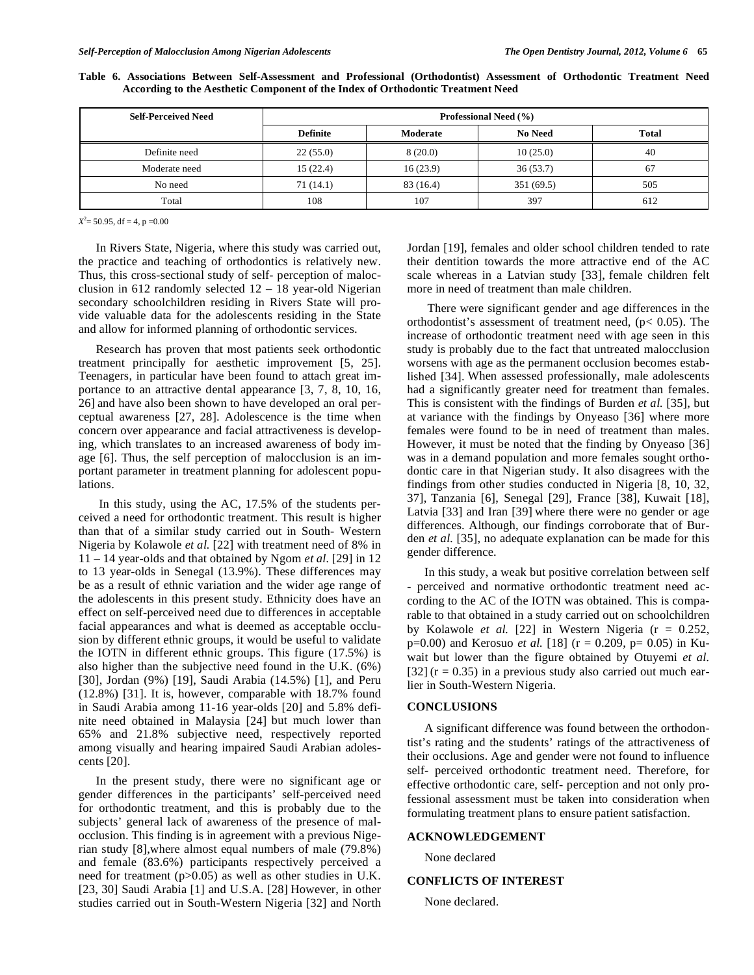|  |  | Table 6. Associations Between Self-Assessment and Professional (Orthodontist) Assessment of Orthodontic Treatment Need |  |  |  |  |
|--|--|------------------------------------------------------------------------------------------------------------------------|--|--|--|--|
|  |  | According to the Aesthetic Component of the Index of Orthodontic Treatment Need                                        |  |  |  |  |

| <b>Self-Perceived Need</b> | Professional Need (%) |           |                |              |  |  |  |  |  |
|----------------------------|-----------------------|-----------|----------------|--------------|--|--|--|--|--|
|                            | <b>Definite</b>       | Moderate  | <b>No Need</b> | <b>Total</b> |  |  |  |  |  |
| Definite need              | 22(55.0)              | 8(20.0)   | 10(25.0)       | 40           |  |  |  |  |  |
| Moderate need              | 15(22.4)              | 16(23.9)  | 36(53.7)       | 67           |  |  |  |  |  |
| No need                    | 71(14.1)              | 83 (16.4) | 351 (69.5)     | 505          |  |  |  |  |  |
| Total                      | 108                   | 107       | 397            | 612          |  |  |  |  |  |

 $X^2 = 50.95$ , df = 4, p = 0.00

In Rivers State, Nigeria, where this study was carried out, the practice and teaching of orthodontics is relatively new. Thus, this cross-sectional study of self- perception of malocclusion in 612 randomly selected  $12 - 18$  year-old Nigerian secondary schoolchildren residing in Rivers State will provide valuable data for the adolescents residing in the State and allow for informed planning of orthodontic services.

Research has proven that most patients seek orthodontic treatment principally for aesthetic improvement [5, 25]. Teenagers, in particular have been found to attach great importance to an attractive dental appearance [3, 7, 8, 10, 16, 26] and have also been shown to have developed an oral perceptual awareness [27, 28]. Adolescence is the time when concern over appearance and facial attractiveness is developing, which translates to an increased awareness of body image [6]. Thus, the self perception of malocclusion is an important parameter in treatment planning for adolescent populations.

 In this study, using the AC, 17.5% of the students perceived a need for orthodontic treatment. This result is higher than that of a similar study carried out in South- Western Nigeria by Kolawole *et al.* [22] with treatment need of 8% in 11 – 14 year-olds and that obtained by Ngom *et al.* [29] in 12 to 13 year-olds in Senegal (13.9%). These differences may be as a result of ethnic variation and the wider age range of the adolescents in this present study. Ethnicity does have an effect on self-perceived need due to differences in acceptable facial appearances and what is deemed as acceptable occlusion by different ethnic groups, it would be useful to validate the IOTN in different ethnic groups. This figure (17.5%) is also higher than the subjective need found in the U.K. (6%) [30], Jordan (9%) [19], Saudi Arabia (14.5%) [1], and Peru (12.8%) [31]. It is, however, comparable with 18.7% found in Saudi Arabia among 11-16 year-olds [20] and 5.8% definite need obtained in Malaysia [24] but much lower than 65% and 21.8% subjective need, respectively reported among visually and hearing impaired Saudi Arabian adolescents [20].

In the present study, there were no significant age or gender differences in the participants' self-perceived need for orthodontic treatment, and this is probably due to the subjects' general lack of awareness of the presence of malocclusion. This finding is in agreement with a previous Nigerian study [8],where almost equal numbers of male (79.8%) and female (83.6%) participants respectively perceived a need for treatment (p>0.05) as well as other studies in U.K. [23, 30] Saudi Arabia [1] and U.S.A. [28] However, in other studies carried out in South-Western Nigeria [32] and North Jordan [19], females and older school children tended to rate their dentition towards the more attractive end of the AC scale whereas in a Latvian study [33], female children felt more in need of treatment than male children.

 There were significant gender and age differences in the orthodontist's assessment of treatment need,  $(p< 0.05)$ . The increase of orthodontic treatment need with age seen in this study is probably due to the fact that untreated malocclusion worsens with age as the permanent occlusion becomes established [34]. When assessed professionally, male adolescents had a significantly greater need for treatment than females. This is consistent with the findings of Burden *et al.* [35], but at variance with the findings by Onyeaso [36] where more females were found to be in need of treatment than males. However, it must be noted that the finding by Onyeaso [36] was in a demand population and more females sought orthodontic care in that Nigerian study. It also disagrees with the findings from other studies conducted in Nigeria [8, 10, 32, 37], Tanzania [6], Senegal [29], France [38], Kuwait [18], Latvia [33] and Iran [39] where there were no gender or age differences. Although, our findings corroborate that of Burden *et al.* [35], no adequate explanation can be made for this gender difference.

In this study, a weak but positive correlation between self - perceived and normative orthodontic treatment need according to the AC of the IOTN was obtained. This is comparable to that obtained in a study carried out on schoolchildren by Kolawole *et al.* [22] in Western Nigeria (r = 0.252,  $p=0.00$ ) and Kerosuo *et al.* [18] ( $r = 0.209$ ,  $p= 0.05$ ) in Kuwait but lower than the figure obtained by Otuyemi *et al.* [32]  $(r = 0.35)$  in a previous study also carried out much earlier in South-Western Nigeria.

#### **CONCLUSIONS**

A significant difference was found between the orthodontist's rating and the students' ratings of the attractiveness of their occlusions. Age and gender were not found to influence self- perceived orthodontic treatment need. Therefore, for effective orthodontic care, self- perception and not only professional assessment must be taken into consideration when formulating treatment plans to ensure patient satisfaction.

### **ACKNOWLEDGEMENT**

None declared

### **CONFLICTS OF INTEREST**

None declared.